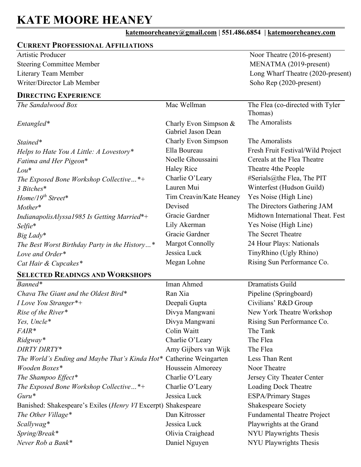# **KATE MOORE HEANEY**

## **katemooreheaney@gmail.com | 551.486.6854 | katemooreheaney.com**

## **CURRENT PROFESSIONAL AFFILIATIONS**

Artistic Producer Steering Committee Member Literary Team Member Writer/Director Lab Member Noor Theatre (2016-present) MENATMA (2019-present) Long Wharf Theatre (2020-present) Soho Rep (2020-present)

#### **DIRECTING EXPERIENCE**

| The Sandalwood Box                                                  | Mac Wellman                                 | The Flea (co-directed with Tyler<br>Thomas) |
|---------------------------------------------------------------------|---------------------------------------------|---------------------------------------------|
| Entangled*                                                          | Charly Evon Simpson &<br>Gabriel Jason Dean | The Amoralists                              |
| Stained*                                                            | Charly Evon Simpson                         | The Amoralists                              |
| Helps to Hate You A Little: A Lovestory*                            | Ella Boureau                                | Fresh Fruit Festival/Wild Project           |
| Fatima and Her Pigeon*                                              | Noelle Ghoussaini                           | Cereals at the Flea Theatre                 |
| $Lou*$                                                              | <b>Haley Rice</b>                           | Theatre 4the People                         |
| The Exposed Bone Workshop Collective $*+$                           | Charlie O'Leary                             | #Serials@the Flea, The PIT                  |
| 3 Bitches*                                                          | Lauren Mui                                  | Winterfest (Hudson Guild)                   |
| $Home/19th Street*$                                                 | Tim Creavin/Kate Heaney                     | Yes Noise (High Line)                       |
| Mother*                                                             | Devised                                     | The Directors Gathering JAM                 |
| IndianapolisAlyssa1985 Is Getting Married*+                         | Gracie Gardner                              | Midtown International Theat. Fest           |
| Selfie*                                                             | Lily Akerman                                | Yes Noise (High Line)                       |
| Big Lady*                                                           | Gracie Gardner                              | The Secret Theatre                          |
| The Best Worst Birthday Party in the History*                       | <b>Margot Connolly</b>                      | 24 Hour Plays: Nationals                    |
| Love and Order*                                                     | Jessica Luck                                | TinyRhino (Ugly Rhino)                      |
| Cat Hair & Cupcakes*                                                | Megan Lohne                                 | Rising Sun Performance Co.                  |
| <b>SELECTED READINGS AND WORKSHOPS</b>                              |                                             |                                             |
| Banned*                                                             | Iman Ahmed                                  | <b>Dramatists Guild</b>                     |
| Chava The Giant and the Oldest Bird*                                | Ran Xia                                     | Pipeline (Springboard)                      |
| <i>I Love You Stranger</i> *+                                       | Deepali Gupta                               | Civilians' R&D Group                        |
| Rise of the River*                                                  | Divya Mangwani                              | New York Theatre Workshop                   |
| Yes, Uncle*                                                         | Divya Mangwani                              | Rising Sun Performance Co.                  |
| FAIR*                                                               | Colin Waitt                                 | The Tank                                    |
| Ridgway*                                                            | Charlie O'Leary                             | The Flea                                    |
| DIRTY DIRTY*                                                        | Amy Gijbers van Wijk                        | The Flea                                    |
| The World's Ending and Maybe That's Kinda Hot* Catherine Weingarten |                                             | Less Than Rent                              |
| Wooden Boxes*                                                       | Houssein Almoreey                           | Noor Theatre                                |
| The Shampoo Effect*                                                 | Charlie O'Leary                             | Jersey City Theater Center                  |
| The Exposed Bone Workshop Collective*+                              |                                             |                                             |
|                                                                     | Charlie O'Leary                             | <b>Loading Dock Theatre</b>                 |
| $Guru*$                                                             | Jessica Luck                                | <b>ESPA/Primary Stages</b>                  |
| Banished: Shakespeare's Exiles (Henry VI Excerpt) Shakespeare       |                                             | Shakespeare Society                         |
| The Other Village*                                                  | Dan Kitrosser                               | <b>Fundamental Theatre Project</b>          |
| Scallywag*                                                          | Jessica Luck                                | Playwrights at the Grand                    |
| Spring/Break*<br>Never Rob a Bank*                                  | Olivia Craighead                            | NYU Playwrights Thesis                      |